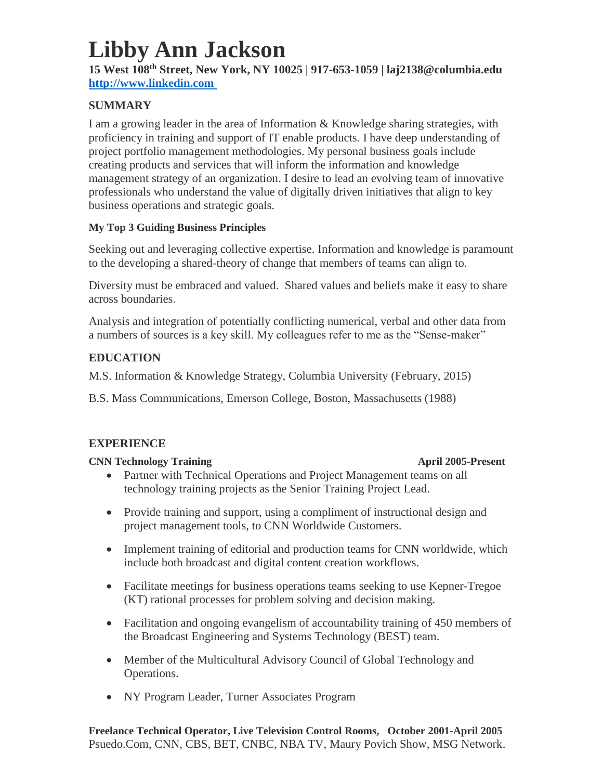# **Libby Ann Jackson**

**15 West 108th Street, New York, NY 10025 | 917-653-1059 | laj2138@columbia.edu [http://www.linkedin.com](http://www.linkedin.com/)** 

# **SUMMARY**

I am a growing leader in the area of Information & Knowledge sharing strategies, with proficiency in training and support of IT enable products. I have deep understanding of project portfolio management methodologies. My personal business goals include creating products and services that will inform the information and knowledge management strategy of an organization. I desire to lead an evolving team of innovative professionals who understand the value of digitally driven initiatives that align to key business operations and strategic goals.

# **My Top 3 Guiding Business Principles**

Seeking out and leveraging collective expertise. Information and knowledge is paramount to the developing a shared-theory of change that members of teams can align to.

Diversity must be embraced and valued. Shared values and beliefs make it easy to share across boundaries.

Analysis and integration of potentially conflicting numerical, verbal and other data from a numbers of sources is a key skill. My colleagues refer to me as the "Sense-maker"

# **EDUCATION**

M.S. Information & Knowledge Strategy, Columbia University (February, 2015)

B.S. Mass Communications, Emerson College, Boston, Massachusetts (1988)

# **EXPERIENCE**

## **CNN Technology Training April 2005-Present**

- Partner with Technical Operations and Project Management teams on all technology training projects as the Senior Training Project Lead.
- Provide training and support, using a compliment of instructional design and project management tools, to CNN Worldwide Customers.
- Implement training of editorial and production teams for CNN worldwide, which include both broadcast and digital content creation workflows.
- Facilitate meetings for business operations teams seeking to use Kepner-Tregoe (KT) rational processes for problem solving and decision making.
- Facilitation and ongoing evangelism of accountability training of 450 members of the Broadcast Engineering and Systems Technology (BEST) team.
- Member of the Multicultural Advisory Council of Global Technology and Operations.
- NY Program Leader, Turner Associates Program

### **Freelance Technical Operator, Live Television Control Rooms, October 2001-April 2005** Psuedo.Com, CNN, CBS, BET, CNBC, NBA TV, Maury Povich Show, MSG Network.